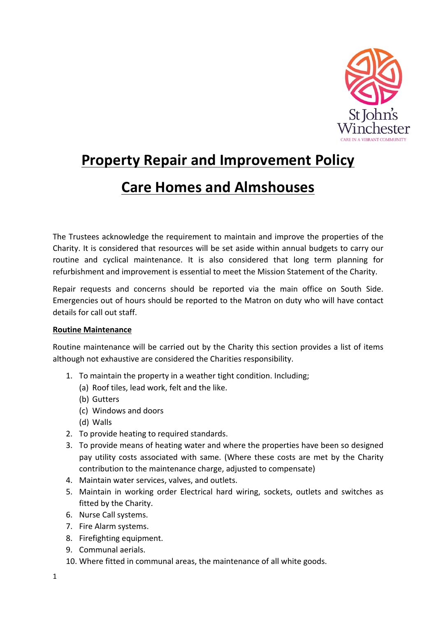

# **Property Repair and Improvement Policy**

# **Care Homes and Almshouses**

The Trustees acknowledge the requirement to maintain and improve the properties of the Charity. It is considered that resources will be set aside within annual budgets to carry our routine and cyclical maintenance. It is also considered that long term planning for refurbishment and improvement is essential to meet the Mission Statement of the Charity.

Repair requests and concerns should be reported via the main office on South Side. Emergencies out of hours should be reported to the Matron on duty who will have contact details for call out staff.

# **Routine Maintenance**

Routine maintenance will be carried out by the Charity this section provides a list of items although not exhaustive are considered the Charities responsibility.

- 1. To maintain the property in a weather tight condition. Including;
	- (a) Roof tiles, lead work, felt and the like.
	- (b) Gutters
	- (c) Windows and doors
	- (d) Walls
- 2. To provide heating to required standards.
- 3. To provide means of heating water and where the properties have been so designed pay utility costs associated with same. (Where these costs are met by the Charity contribution to the maintenance charge, adjusted to compensate)
- 4. Maintain water services, valves, and outlets.
- 5. Maintain in working order Electrical hard wiring, sockets, outlets and switches as fitted by the Charity.
- 6. Nurse Call systems.
- 7. Fire Alarm systems.
- 8. Firefighting equipment.
- 9. Communal aerials.
- 10. Where fitted in communal areas, the maintenance of all white goods.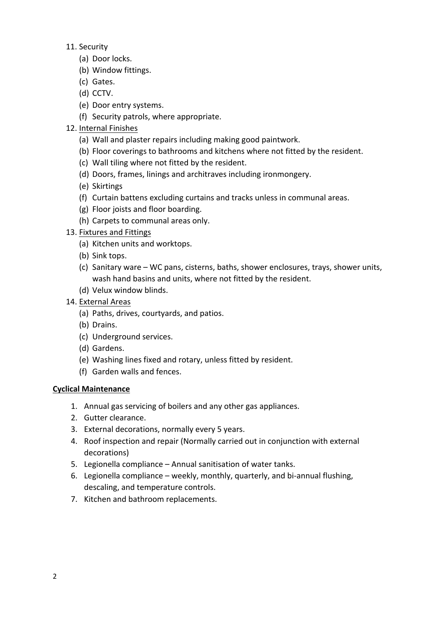- 11. Security
	- (a) Door locks.
	- (b) Window fittings.
	- (c) Gates.
	- (d) CCTV.
	- (e) Door entry systems.
	- (f) Security patrols, where appropriate.
- 12. Internal Finishes
	- (a) Wall and plaster repairs including making good paintwork.
	- (b) Floor coverings to bathrooms and kitchens where not fitted by the resident.
	- (c) Wall tiling where not fitted by the resident.
	- (d) Doors, frames, linings and architraves including ironmongery.
	- (e) Skirtings
	- (f) Curtain battens excluding curtains and tracks unless in communal areas.
	- (g) Floor joists and floor boarding.
	- (h) Carpets to communal areas only.
- 13. Fixtures and Fittings
	- (a) Kitchen units and worktops.
	- (b) Sink tops.
	- (c) Sanitary ware WC pans, cisterns, baths, shower enclosures, trays, shower units, wash hand basins and units, where not fitted by the resident.
	- (d) Velux window blinds.
- 14. External Areas
	- (a) Paths, drives, courtyards, and patios.
	- (b) Drains.
	- (c) Underground services.
	- (d) Gardens.
	- (e) Washing lines fixed and rotary, unless fitted by resident.
	- (f) Garden walls and fences.

# **Cyclical Maintenance**

- 1. Annual gas servicing of boilers and any other gas appliances.
- 2. Gutter clearance.
- 3. External decorations, normally every 5 years.
- 4. Roof inspection and repair (Normally carried out in conjunction with external decorations)
- 5. Legionella compliance  $-$  Annual sanitisation of water tanks.
- 6. Legionella compliance  $-$  weekly, monthly, quarterly, and bi-annual flushing, descaling, and temperature controls.
- 7. Kitchen and bathroom replacements.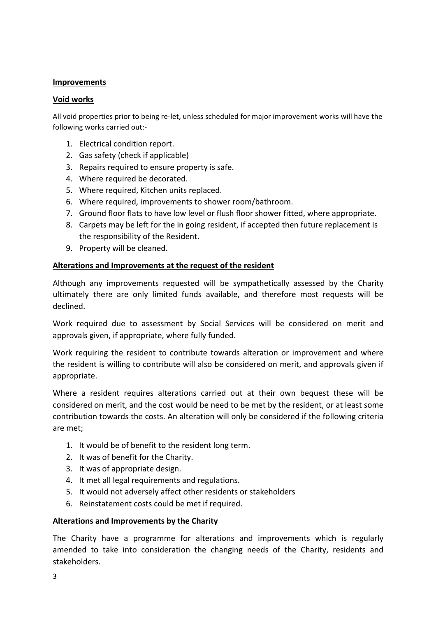## **Improvements**

## **Void works**

All void properties prior to being re-let, unless scheduled for major improvement works will have the following works carried out:-

- 1. Electrical condition report.
- 2. Gas safety (check if applicable)
- 3. Repairs required to ensure property is safe.
- 4. Where required be decorated.
- 5. Where required, Kitchen units replaced.
- 6. Where required, improvements to shower room/bathroom.
- 7. Ground floor flats to have low level or flush floor shower fitted, where appropriate.
- 8. Carpets may be left for the in going resident, if accepted then future replacement is the responsibility of the Resident.
- 9. Property will be cleaned.

## Alterations and Improvements at the request of the resident

Although any improvements requested will be sympathetically assessed by the Charity ultimately there are only limited funds available, and therefore most requests will be declined.

Work required due to assessment by Social Services will be considered on merit and approvals given, if appropriate, where fully funded.

Work requiring the resident to contribute towards alteration or improvement and where the resident is willing to contribute will also be considered on merit, and approvals given if appropriate.

Where a resident requires alterations carried out at their own bequest these will be considered on merit, and the cost would be need to be met by the resident, or at least some contribution towards the costs. An alteration will only be considered if the following criteria are met;

- 1. It would be of benefit to the resident long term.
- 2. It was of benefit for the Charity.
- 3. It was of appropriate design.
- 4. It met all legal requirements and regulations.
- 5. It would not adversely affect other residents or stakeholders
- 6. Reinstatement costs could be met if required.

### **Alterations and Improvements by the Charity**

The Charity have a programme for alterations and improvements which is regularly amended to take into consideration the changing needs of the Charity, residents and stakeholders.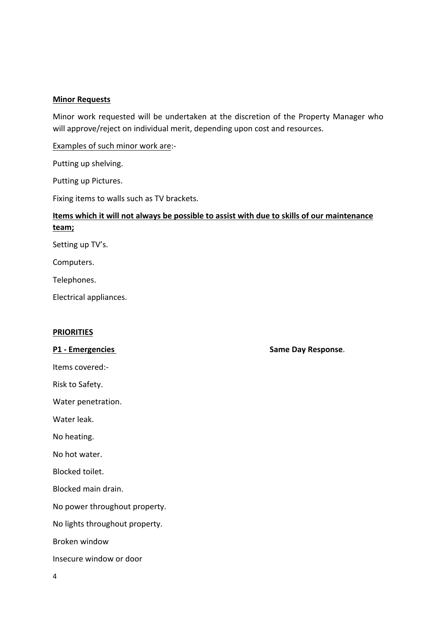#### **Minor Requests**

Minor work requested will be undertaken at the discretion of the Property Manager who will approve/reject on individual merit, depending upon cost and resources.

Examples of such minor work are:-

Putting up shelving.

Putting up Pictures.

Fixing items to walls such as TV brackets.

# Items which it will not always be possible to assist with due to skills of our maintenance **team;**

Setting up TV's.

Computers.

Telephones.

Electrical appliances.

#### **PRIORITIES**

Items covered:-

Risk to Safety.

Water penetration.

Water leak.

No heating.

No hot water.

Blocked toilet.

Blocked main drain.

No power throughout property.

No lights throughout property.

Broken window

Insecure window or door

**P1** - Emergencies **by any 1 and 1 and 1 and 1 and 1 and 1 and 1 and 1 and 1 and 1 and 1 and 1 and 1 and 1 and 1 and 1 and 1 and 1 and 1 and 1 and 1 and 1 and 1 and 1 and 1 and 1 and 1 and 1 and 1 and 1 and 1 and 1 and 1 a**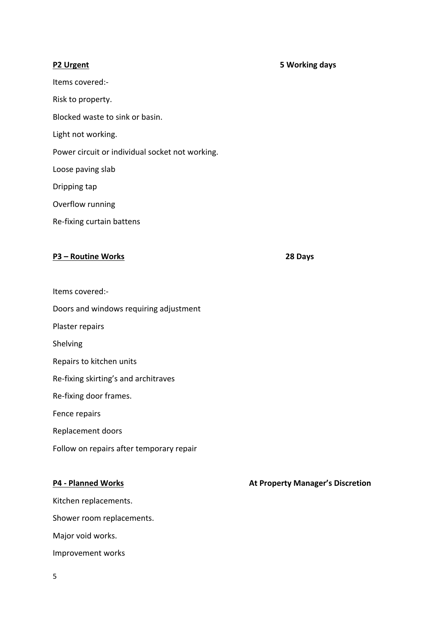#### **P2 Urgent 5 Working days**

Items covered:-Risk to property. Blocked waste to sink or basin. Light not working. Power circuit or individual socket not working. Loose paving slab Dripping tap Overflow running Re-fixing curtain battens

### **P3 – Routine Works 28 Days**

- Items covered:-
- Doors and windows requiring adjustment
- Plaster repairs
- Shelving
- Repairs to kitchen units
- Re-fixing skirting's and architraves
- Re-fixing door frames.
- Fence repairs
- Replacement doors
- Follow on repairs after temporary repair

Kitchen replacements. Shower room replacements. Major void works. Improvement works

#### **P4** - Planned Works *P4* **- Planned Works** *P4* **- Planned Works <b>***P4 Manager's Discretion P4* - Planned **Works** *P4* - Planned **Works** *P4* - Planned **Works** *P4* - **P12** *P4* - **P12** *P12 P12 P*